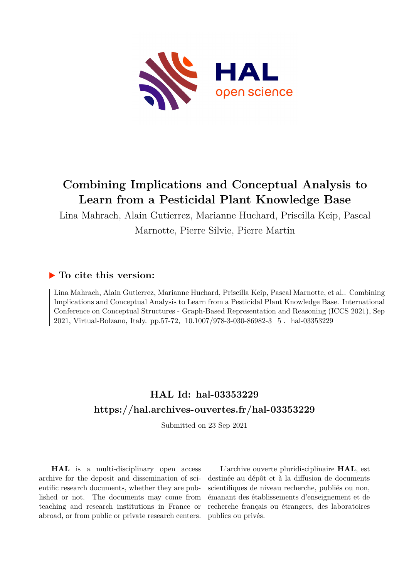

# **Combining Implications and Conceptual Analysis to Learn from a Pesticidal Plant Knowledge Base**

Lina Mahrach, Alain Gutierrez, Marianne Huchard, Priscilla Keip, Pascal Marnotte, Pierre Silvie, Pierre Martin

# **To cite this version:**

Lina Mahrach, Alain Gutierrez, Marianne Huchard, Priscilla Keip, Pascal Marnotte, et al.. Combining Implications and Conceptual Analysis to Learn from a Pesticidal Plant Knowledge Base. International Conference on Conceptual Structures - Graph-Based Representation and Reasoning (ICCS 2021), Sep 2021, Virtual-Bolzano, Italy. pp.57-72, 10.1007/978-3-030-86982-3\_5. hal-03353229

# **HAL Id: hal-03353229 <https://hal.archives-ouvertes.fr/hal-03353229>**

Submitted on 23 Sep 2021

**HAL** is a multi-disciplinary open access archive for the deposit and dissemination of scientific research documents, whether they are published or not. The documents may come from teaching and research institutions in France or abroad, or from public or private research centers.

L'archive ouverte pluridisciplinaire **HAL**, est destinée au dépôt et à la diffusion de documents scientifiques de niveau recherche, publiés ou non, émanant des établissements d'enseignement et de recherche français ou étrangers, des laboratoires publics ou privés.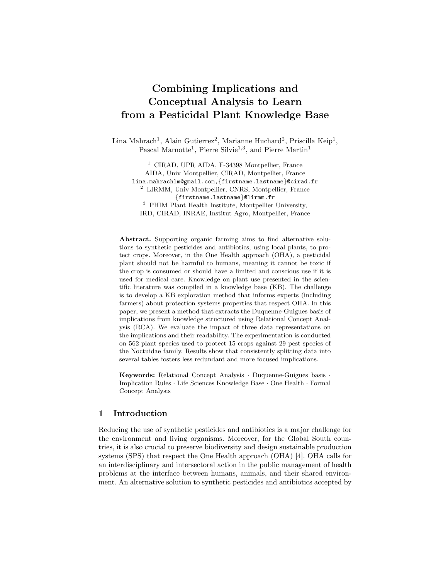# Combining Implications and Conceptual Analysis to Learn from a Pesticidal Plant Knowledge Base

Lina Mahrach<sup>1</sup>, Alain Gutierrez<sup>2</sup>, Marianne Huchard<sup>2</sup>, Priscilla Keip<sup>1</sup>, Pascal Marnotte<sup>1</sup>, Pierre Silvie<sup>1,3</sup>, and Pierre Martin<sup>1</sup>

<sup>1</sup> CIRAD, UPR AIDA, F-34398 Montpellier, France AIDA, Univ Montpellier, CIRAD, Montpellier, France lina.mahrachlm@gmail.com,{firstname.lastname}@cirad.fr <sup>2</sup> LIRMM, Univ Montpellier, CNRS, Montpellier, France {firstname.lastname}@lirmm.fr <sup>3</sup> PHIM Plant Health Institute, Montpellier University, IRD, CIRAD, INRAE, Institut Agro, Montpellier, France

Abstract. Supporting organic farming aims to find alternative solutions to synthetic pesticides and antibiotics, using local plants, to protect crops. Moreover, in the One Health approach (OHA), a pesticidal plant should not be harmful to humans, meaning it cannot be toxic if the crop is consumed or should have a limited and conscious use if it is used for medical care. Knowledge on plant use presented in the scientific literature was compiled in a knowledge base (KB). The challenge is to develop a KB exploration method that informs experts (including farmers) about protection systems properties that respect OHA. In this paper, we present a method that extracts the Duquenne-Guigues basis of implications from knowledge structured using Relational Concept Analysis (RCA). We evaluate the impact of three data representations on the implications and their readability. The experimentation is conducted on 562 plant species used to protect 15 crops against 29 pest species of the Noctuidae family. Results show that consistently splitting data into several tables fosters less redundant and more focused implications.

Keywords: Relational Concept Analysis · Duquenne-Guigues basis · Implication Rules · Life Sciences Knowledge Base · One Health · Formal Concept Analysis

#### 1 Introduction

Reducing the use of synthetic pesticides and antibiotics is a major challenge for the environment and living organisms. Moreover, for the Global South countries, it is also crucial to preserve biodiversity and design sustainable production systems (SPS) that respect the One Health approach (OHA) [4]. OHA calls for an interdisciplinary and intersectoral action in the public management of health problems at the interface between humans, animals, and their shared environment. An alternative solution to synthetic pesticides and antibiotics accepted by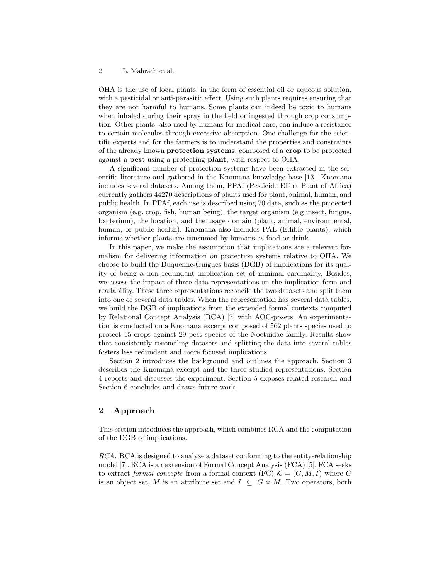OHA is the use of local plants, in the form of essential oil or aqueous solution, with a pesticidal or anti-parasitic effect. Using such plants requires ensuring that they are not harmful to humans. Some plants can indeed be toxic to humans when inhaled during their spray in the field or ingested through crop consumption. Other plants, also used by humans for medical care, can induce a resistance to certain molecules through excessive absorption. One challenge for the scientific experts and for the farmers is to understand the properties and constraints of the already known protection systems, composed of a crop to be protected against a pest using a protecting plant, with respect to OHA.

A significant number of protection systems have been extracted in the scientific literature and gathered in the Knomana knowledge base [13]. Knomana includes several datasets. Among them, PPAf (Pesticide Effect Plant of Africa) currently gathers 44270 descriptions of plants used for plant, animal, human, and public health. In PPAf, each use is described using 70 data, such as the protected organism (e.g. crop, fish, human being), the target organism (e.g insect, fungus, bacterium), the location, and the usage domain (plant, animal, environmental, human, or public health). Knomana also includes PAL (Edible plants), which informs whether plants are consumed by humans as food or drink.

In this paper, we make the assumption that implications are a relevant formalism for delivering information on protection systems relative to OHA. We choose to build the Duquenne-Guigues basis (DGB) of implications for its quality of being a non redundant implication set of minimal cardinality. Besides, we assess the impact of three data representations on the implication form and readability. These three representations reconcile the two datasets and split them into one or several data tables. When the representation has several data tables, we build the DGB of implications from the extended formal contexts computed by Relational Concept Analysis (RCA) [7] with AOC-posets. An experimentation is conducted on a Knomana excerpt composed of 562 plants species used to protect 15 crops against 29 pest species of the Noctuidae family. Results show that consistently reconciling datasets and splitting the data into several tables fosters less redundant and more focused implications.

Section 2 introduces the background and outlines the approach. Section 3 describes the Knomana excerpt and the three studied representations. Section 4 reports and discusses the experiment. Section 5 exposes related research and Section 6 concludes and draws future work.

### 2 Approach

This section introduces the approach, which combines RCA and the computation of the DGB of implications.

RCA. RCA is designed to analyze a dataset conforming to the entity-relationship model [7]. RCA is an extension of Formal Concept Analysis (FCA) [5]. FCA seeks to extract formal concepts from a formal context (FC)  $\mathcal{K} = (G, M, I)$  where G is an object set, M is an attribute set and  $I \subseteq G \times M$ . Two operators, both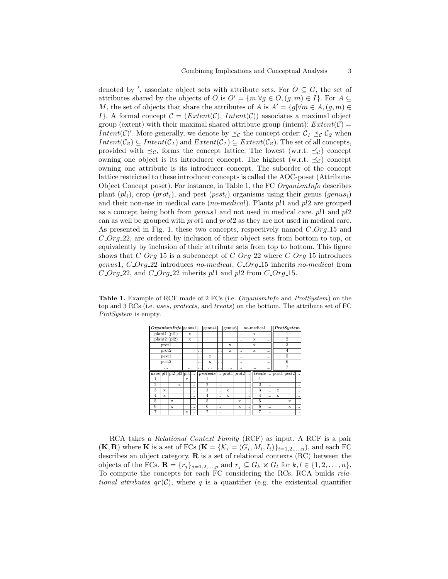denoted by ', associate object sets with attribute sets. For  $O \subseteq G$ , the set of attributes shared by the objects of O is  $O' = \{m | \forall g \in O, (g, m) \in I\}$ . For  $A \subseteq$ M, the set of objects that share the attributes of A is  $A' = \{g|\forall m \in A, (g, m) \in$ I}. A formal concept  $C = (Extend(C), Intent(C))$  associates a maximal object group (extent) with their maximal shared attribute group (intent):  $Extend(\mathcal{C}) =$ *Intent*(C)'. More generally, we denote by  $\preceq_{\mathcal{C}}$  the concept order:  $\mathcal{C}_1 \preceq_{\mathcal{C}} \mathcal{C}_2$  when  $Intent(\mathcal{C}_2) \subseteq Intent(\mathcal{C}_1)$  and  $Extent(\mathcal{C}_1) \subseteq Extent(\mathcal{C}_2)$ . The set of all concepts, provided with  $\preceq_{\mathcal{C}}$ , forms the concept lattice. The lowest (w.r.t.  $\preceq_{\mathcal{C}}$ ) concept owning one object is its introducer concept. The highest (w.r.t.  $\preceq_{\mathcal{C}}$ ) concept owning one attribute is its introducer concept. The suborder of the concept lattice restricted to these introducer concepts is called the AOC-poset (Attribute-Object Concept poset). For instance, in Table 1, the FC OrganismInfo describes plant  $(pl_i)$ , crop  $(prot_i)$ , and pest  $(pest_i)$  organisms using their genus  $(qenus_i)$ and their non-use in medical care (no-medical). Plants  $p11$  and  $p12$  are grouped as a concept being both from *genus*1 and not used in medical care.  $pl1$  and  $pl2$ can as well be grouped with  $prot1$  and  $prot2$  as they are not used in medical care. As presented in Fig. 1, these two concepts, respectively named  $C\text{-}Org\text{-}15$  and  $C_{\text{Org-22}}$ , are ordered by inclusion of their object sets from bottom to top, or equivalently by inclusion of their attribute sets from top to bottom. This figure shows that  $C\_{Org.15}$  is a subconcept of  $C\_{Org.22}$  where  $C\_{Org.15}$  introduces genus1, C Org 22 introduces no-medical, C Org 15 inherits no-medical from  $C_{C}$  Org 22, and  $C_{C}$  Org 22 inherits pl1 and pl2 from  $C_{C}$  Org 15.

Table 1. Example of RCF made of 2 FCs (i.e. OrganismInfo and ProtSystem) on the top and 3 RCs (i.e. uses, protects, and treats) on the bottom. The attribute set of FC ProtSystem is empty.

|                        |                    |             |             |                      |          |          | $OrganismInfo genus1  genus4  genus6  no-mediated $ |              |             |          |  |                |          |             | ProtSystem     |          |
|------------------------|--------------------|-------------|-------------|----------------------|----------|----------|-----------------------------------------------------|--------------|-------------|----------|--|----------------|----------|-------------|----------------|----------|
|                        | $plant1$ ( $p11$ ) |             |             | $\mathbf x$          |          | $\cdots$ |                                                     |              |             | $\cdots$ |  | $\mathbf x$    | $\cdots$ |             |                |          |
|                        | plant2(p12)        |             |             | $\mathbf x$          |          | $\cdots$ |                                                     |              |             | $\cdots$ |  | $\mathbf x$    | $\cdots$ |             | $\overline{2}$ |          |
|                        | prot1              |             |             |                      |          | $\cdots$ |                                                     | $\cdots$     | $\mathbf x$ | $\cdots$ |  | $\mathbf x$    | $\cdots$ |             | 3              |          |
|                        | prot2              |             |             |                      |          | $\cdots$ |                                                     | $\cdots$     | $\mathbf x$ | $\cdots$ |  | $\mathbf x$    | $\cdots$ |             | $\overline{4}$ |          |
|                        | pest1              |             |             |                      |          | $\cdots$ | x                                                   | $\cdots$     |             | $\cdots$ |  |                | $\cdots$ |             | 5              |          |
|                        | $_{\text{pest2}}$  |             |             |                      |          | $\cdots$ | $\mathbf x$                                         | $\cdots$     |             |          |  |                | $\cdots$ |             | 6              |          |
| $\cdots$               |                    |             |             | $\cdots$<br>$\cdots$ |          |          | $\cdots$                                            | $\cdots$<br> |             | $\cdots$ |  | $\cdots$       |          |             |                |          |
| $uses$ pl1 pl2 pl3 pl4 |                    |             |             |                      |          |          |                                                     |              |             |          |  |                |          |             |                |          |
|                        |                    |             |             |                      |          |          | protects                                            |              | prot1 prot2 |          |  | treats         |          |             | best1 pest2    |          |
|                        |                    |             |             | x                    | $\cdots$ |          |                                                     | $\cdots$     |             |          |  | 1              | $\cdots$ |             |                |          |
| $\overline{2}$         |                    |             | $\mathbf x$ |                      | $\cdots$ |          | $\overline{2}$                                      | $\cdots$     |             |          |  | $\overline{2}$ | $\cdots$ |             |                | $\cdots$ |
| 3                      | X                  |             |             |                      | $\cdots$ |          | 3                                                   | $\cdots$     | X           |          |  | 3              | $\cdots$ | X           |                | $\cdots$ |
| $\overline{4}$         | $\mathbf x$        |             |             |                      |          |          | $\overline{4}$                                      | .            | X           |          |  | $\overline{4}$ | $\cdots$ | $\mathbf x$ |                |          |
| 5                      |                    | X           |             |                      | $\cdots$ |          | 5                                                   | $\cdots$     |             | X        |  | 5              | $\cdots$ |             | x              | $\cdots$ |
| 6                      |                    | $\mathbf x$ |             |                      |          |          | 6                                                   | $\cdots$     |             | X        |  | 6              | $\cdots$ |             | x              | $\cdots$ |

RCA takes a Relational Context Family (RCF) as input. A RCF is a pair  $(K, R)$  where K is a set of FCs  $(K = {\{\mathcal{K}_i = (G_i, M_i, I_i)\}}_{i=1,2,...,n})$ , and each FC describes an object category.  $\bf{R}$  is a set of relational contexts (RC) between the objects of the FCs.  $\mathbf{R} = \{r_j\}_{j=1,2,...,p}$  and  $r_j \subseteq G_k \times G_l$  for  $k, l \in \{1,2,...,n\}$ . To compute the concepts for each FC considering the RCs, RCA builds relational attributes  $qr(\mathcal{C})$ , where q is a quantifier (e.g. the existential quantifier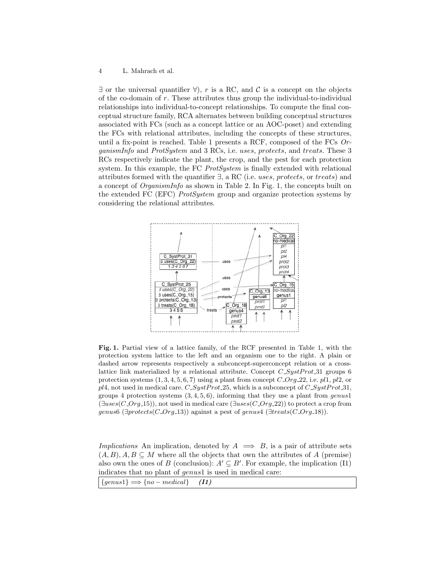$\exists$  or the universal quantifier  $\forall$ ), r is a RC, and C is a concept on the objects of the co-domain of r. These attributes thus group the individual-to-individual relationships into individual-to-concept relationships. To compute the final conceptual structure family, RCA alternates between building conceptual structures associated with FCs (such as a concept lattice or an AOC-poset) and extending the FCs with relational attributes, including the concepts of these structures, until a fix-point is reached. Table 1 presents a RCF, composed of the FCs OrganismInfo and ProtSystem and 3 RCs, i.e. uses, protects, and treats. These 3 RCs respectively indicate the plant, the crop, and the pest for each protection system. In this example, the FC ProtSystem is finally extended with relational attributes formed with the quantifier  $\exists$ , a RC (i.e. uses, protects, or treats) and a concept of OrganismInfo as shown in Table 2. In Fig. 1, the concepts built on the extended FC (EFC) ProtSystem group and organize protection systems by considering the relational attributes.



Fig. 1. Partial view of a lattice family, of the RCF presented in Table 1, with the protection system lattice to the left and an organism one to the right. A plain or dashed arrow represents respectively a subconcept-superconcept relation or a crosslattice link materialized by a relational attribute. Concept  $C\text{-}SystProt.31$  groups 6 protection systems  $(1, 3, 4, 5, 6, 7)$  using a plant from concept  $C\text{-}Org_2-22$ , i.e.  $pl1$ ,  $pl2$ , or  $pl4$ , not used in medical care.  $C$  SystProt 25, which is a subconcept of  $C$  SystProt 31, groups 4 protection systems  $(3, 4, 5, 6)$ , informing that they use a plant from genus1  $(\exists uses (C\_{Org}\_15))$ , not used in medical care  $(\exists uses (C\_{Org}\_22))$  to protect a crop from genus6 (∃protects(C\_Org\_13)) against a pest of genus4 (∃treats(C\_Org\_18)).

*Implications* An implication, denoted by  $A \implies B$ , is a pair of attribute sets  $(A, B), A, B \subseteq M$  where all the objects that own the attributes of A (premise) also own the ones of B (conclusion):  $A' \subseteq B'$ . For example, the implication (I1) indicates that no plant of genus1 is used in medical care: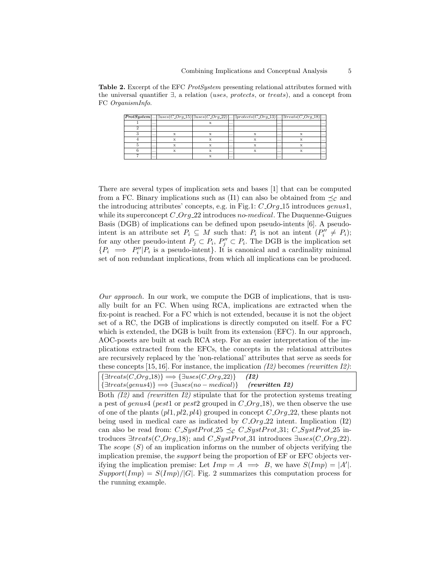Table 2. Excerpt of the EFC ProtSystem presenting relational attributes formed with the universal quantifier  $\exists$ , a relation (uses, protects, or treats), and a concept from FC OrganismInfo.

|          |  |          | $\boxed{\text{ProtSystem}}$ $\boxed{\exists uses(C\text{0rg}\_15)}$ $\boxed{\exists uses(C\text{0rg}\_22)}$ $\boxed{\exists protects(C\text{0rg}\_3)}$ $\boxed{\exists treats(C\text{0rg}\_18)}$ |   |          |
|----------|--|----------|--------------------------------------------------------------------------------------------------------------------------------------------------------------------------------------------------|---|----------|
| $\cdots$ |  | $\cdots$ |                                                                                                                                                                                                  | . |          |
| $\cdots$ |  |          |                                                                                                                                                                                                  | . | $\cdots$ |
| $\cdots$ |  |          |                                                                                                                                                                                                  | . |          |
| $\cdots$ |  |          |                                                                                                                                                                                                  | . | .        |
| $\cdots$ |  |          |                                                                                                                                                                                                  | . | .        |
| $\cdots$ |  |          |                                                                                                                                                                                                  | . |          |
| $\cdots$ |  |          |                                                                                                                                                                                                  | . | $\cdots$ |

There are several types of implication sets and bases [1] that can be computed from a FC. Binary implications such as (I1) can also be obtained from  $\preceq_{\mathcal{C}}$  and the introducing attributes' concepts, e.g. in Fig.1:  $C_{0}$  and  $C_{1}$  introduces genus1, while its superconcept  $C\_{Org.22}$  introduces no-medical. The Duquenne-Guigues Basis (DGB) of implications can be defined upon pseudo-intents [6]. A pseudointent is an attribute set  $P_i \subseteq M$  such that:  $P_i$  is not an intent  $(P''_i \neq P_i)$ ; for any other pseudo-intent  $P_j \subset P_i$ ,  $P''_j \subset P_i$ . The DGB is the implication set  $\{P_i \implies P''_i | P_i \text{ is a pseudo-intent}\}\.$  It is canonical and a cardinality minimal set of non redundant implications, from which all implications can be produced.

Our approach. In our work, we compute the DGB of implications, that is usually built for an FC. When using RCA, implications are extracted when the fix-point is reached. For a FC which is not extended, because it is not the object set of a RC, the DGB of implications is directly computed on itself. For a FC which is extended, the DGB is built from its extension (EFC). In our approach, AOC-posets are built at each RCA step. For an easier interpretation of the implications extracted from the EFCs, the concepts in the relational attributes are recursively replaced by the 'non-relational' attributes that serve as seeds for these concepts [15, 16]. For instance, the implication  $(I2)$  becomes (rewritten I2):

| $\{\exists treats(C\_{Org}\_18)\} \Longrightarrow \{\exists uses(C\_{Org}\_22)\}$ (12)    |  |
|-------------------------------------------------------------------------------------------|--|
| $\{\exists treats(genus4)\} \Longrightarrow \{\exists uses(no-mediated)\}$ (rewritten I2) |  |

Both (I2) and (rewritten I2) stipulate that for the protection systems treating a pest of genus4 (pest1 or pest2 grouped in  $C\text{-}Ora\text{-}18$ ), we then observe the use of one of the plants  $(pl1, pl2, pl4)$  grouped in concept  $C\_{Org.22}$ , these plants not being used in medical care as indicated by  $C\_{Org.22}$  intent. Implication (I2) can also be read from:  $C\_SystProt.25 \preceq_C C\_SystProt.31; C\_SystProt.25$  introduces  $\exists treats(C\_Org\_18);$  and  $C\_SystemTot\_31$  introduces  $\exists uses(C\_Org\_22).$ The scope  $(S)$  of an implication informs on the number of objects verifying the implication premise, the support being the proportion of EF or EFC objects verifying the implication premise: Let  $Imp = A \implies B$ , we have  $S(Imp) = |A'|$ .  $Support(Imp) = S(Imp)/|G|$ . Fig. 2 summarizes this computation process for the running example.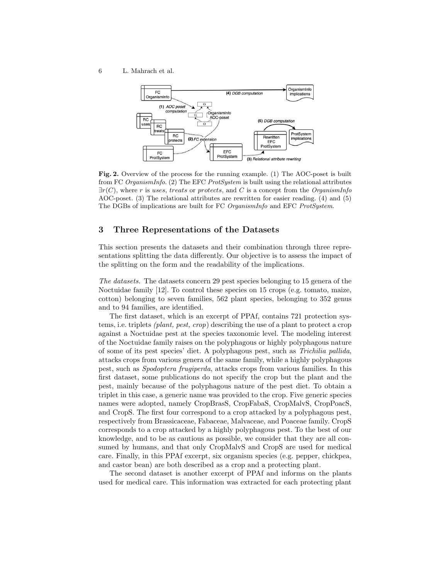

Fig. 2. Overview of the process for the running example. (1) The AOC-poset is built from FC OrganismInfo. (2) The EFC ProtSystem is built using the relational attributes  $\exists r(C)$ , where r is uses, treats or protects, and C is a concept from the OrganismInfo AOC-poset. (3) The relational attributes are rewritten for easier reading. (4) and (5) The DGBs of implications are built for FC OrganismInfo and EFC ProtSystem.

### 3 Three Representations of the Datasets

This section presents the datasets and their combination through three representations splitting the data differently. Our objective is to assess the impact of the splitting on the form and the readability of the implications.

The datasets. The datasets concern 29 pest species belonging to 15 genera of the Noctuidae family [12]. To control these species on 15 crops (e.g. tomato, maize, cotton) belonging to seven families, 562 plant species, belonging to 352 genus and to 94 families, are identified.

The first dataset, which is an excerpt of PPAf, contains 721 protection systems, i.e. triplets (plant, pest, crop) describing the use of a plant to protect a crop against a Noctuidae pest at the species taxonomic level. The modeling interest of the Noctuidae family raises on the polyphagous or highly polyphagous nature of some of its pest species' diet. A polyphagous pest, such as Trichilia pallida, attacks crops from various genera of the same family, while a highly polyphagous pest, such as Spodoptera frugiperda, attacks crops from various families. In this first dataset, some publications do not specify the crop but the plant and the pest, mainly because of the polyphagous nature of the pest diet. To obtain a triplet in this case, a generic name was provided to the crop. Five generic species names were adopted, namely CropBrasS, CropFabaS, CropMalvS, CropPoacS, and CropS. The first four correspond to a crop attacked by a polyphagous pest, respectively from Brassicaceae, Fabaceae, Malvaceae, and Poaceae family. CropS corresponds to a crop attacked by a highly polyphagous pest. To the best of our knowledge, and to be as cautious as possible, we consider that they are all consumed by humans, and that only CropMalvS and CropS are used for medical care. Finally, in this PPAf excerpt, six organism species (e.g. pepper, chickpea, and castor bean) are both described as a crop and a protecting plant.

The second dataset is another excerpt of PPAf and informs on the plants used for medical care. This information was extracted for each protecting plant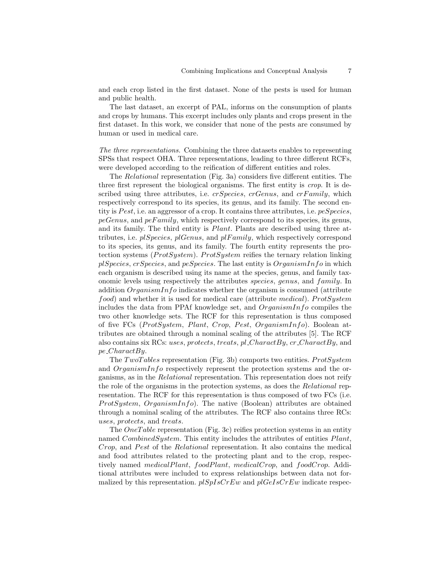and each crop listed in the first dataset. None of the pests is used for human and public health.

The last dataset, an excerpt of PAL, informs on the consumption of plants and crops by humans. This excerpt includes only plants and crops present in the first dataset. In this work, we consider that none of the pests are consumed by human or used in medical care.

The three representations. Combining the three datasets enables to representing SPSs that respect OHA. Three representations, leading to three different RCFs, were developed according to the reification of different entities and roles.

The Relational representation (Fig. 3a) considers five different entities. The three first represent the biological organisms. The first entity is crop. It is described using three attributes, i.e.  $crSpecies, crGenus,$  and  $crFamily,$  which respectively correspond to its species, its genus, and its family. The second entity is Pest, i.e. an aggressor of a crop. It contains three attributes, i.e.  $peSpecies$ ,  $peGenus$ , and  $peFamily$ , which respectively correspond to its species, its genus, and its family. The third entity is Plant. Plants are described using three attributes, i.e.  $plSpecies$ ,  $plGenus$ , and  $plFamily$ , which respectively correspond to its species, its genus, and its family. The fourth entity represents the protection systems ( $ProtSystem$ ). ProtSystem reifies the ternary relation linking plSpecies, crSpecies, and peSpecies. The last entity is  $OrganismInfo$  in which each organism is described using its name at the species, genus, and family taxonomic levels using respectively the attributes *species*, genus, and family. In addition  $OrganismInfo$  indicates whether the organism is consumed (attribute  $food)$  and whether it is used for medical care (attribute medical). ProtSystem includes the data from PPAf knowledge set, and  $OrganismInfo$  compiles the two other knowledge sets. The RCF for this representation is thus composed of five FCs ( $ProtSystem$ , Plant, Crop, Pest, OrganismInfo). Boolean attributes are obtained through a nominal scaling of the attributes [5]. The RCF also contains six RCs: uses, protects, treats, pl  $CharactBy$ , cr  $CharactBy$ , and pe CharactBy.

The  $Two Tables$  representation (Fig. 3b) comports two entities.  $ProtSystem$ and *OrganismInfo* respectively represent the protection systems and the organisms, as in the Relational representation. This representation does not reify the role of the organisms in the protection systems, as does the Relational representation. The RCF for this representation is thus composed of two FCs (i.e. ProtSystem, OrganismInfo). The native (Boolean) attributes are obtained through a nominal scaling of the attributes. The RCF also contains three RCs: uses, protects, and treats.

The OneTable representation (Fig. 3c) reifies protection systems in an entity named CombinedSystem. This entity includes the attributes of entities Plant, Crop, and Pest of the Relational representation. It also contains the medical and food attributes related to the protecting plant and to the crop, respectively named medicalPlant, foodPlant, medicalCrop, and foodCrop. Additional attributes were included to express relationships between data not formalized by this representation.  $plSpIsCrEw$  and  $plGeIsCrEw$  indicate respec-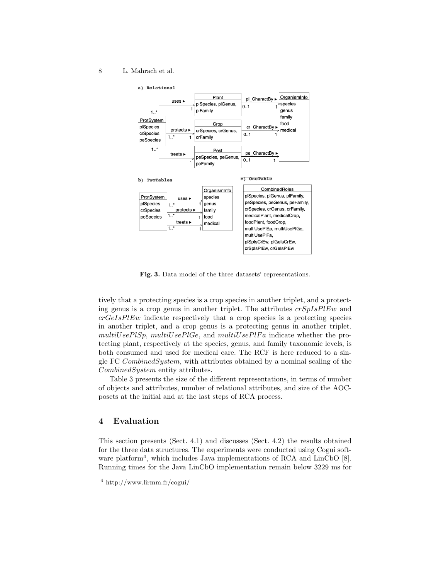

Fig. 3. Data model of the three datasets' representations.

tively that a protecting species is a crop species in another triplet, and a protecting genus is a crop genus in another triplet. The attributes  $crSpIsPIEw$  and  $crGeIsPIEw$  indicate respectively that a crop species is a protecting species in another triplet, and a crop genus is a protecting genus in another triplet. multiUsePlSp, multiUsePlGe, and multiUsePlFa indicate whether the protecting plant, respectively at the species, genus, and family taxonomic levels, is both consumed and used for medical care. The RCF is here reduced to a single FC CombinedSystem, with attributes obtained by a nominal scaling of the CombinedSystem entity attributes.

Table 3 presents the size of the different representations, in terms of number of objects and attributes, number of relational attributes, and size of the AOCposets at the initial and at the last steps of RCA process.

## 4 Evaluation

This section presents (Sect. 4.1) and discusses (Sect. 4.2) the results obtained for the three data structures. The experiments were conducted using Cogui software platform<sup>4</sup>, which includes Java implementations of RCA and LinCbO [8]. Running times for the Java LinCbO implementation remain below 3229 ms for

 $\frac{4 \text{ http://www.lirmm.fr/cogui/}}{4 \text{ http://www.lirmm.fr/cogui/}}$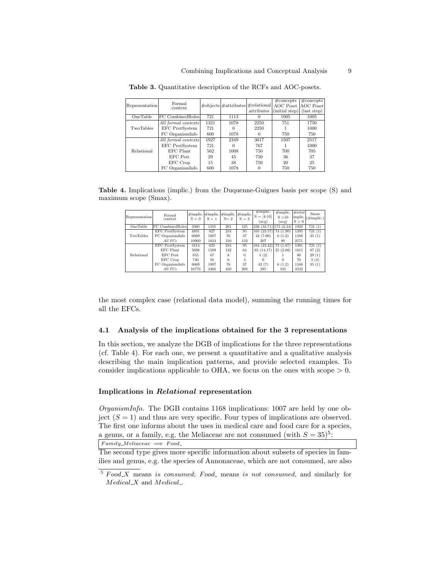| Representation | Formal<br>context   |      | $\# objects   \# attributes   \# relational  $ | attributes | $# \neq$ concepts<br>AOC Poset AOC Poset<br>$(i$ nitial step $) $ | $# \overline{concepts}$<br>last step) |
|----------------|---------------------|------|------------------------------------------------|------------|-------------------------------------------------------------------|---------------------------------------|
| OneTable       | FC CombinedRoles    | 721  | 1113                                           |            | 1005                                                              | 1005                                  |
|                | All formal contexts | 1321 | 1078                                           | 2250       | 751                                                               | 1750                                  |
| TwoTables      | EFC ProtSystem      | 721  |                                                | 2250       |                                                                   | 1000                                  |
|                | FC OrganismInfo     | 600  | 1078                                           | $^{(1)}$   | 750                                                               | 750                                   |
|                | All formal contexts | 1927 | 2169                                           | 3017       | 1507                                                              | 2517                                  |
|                | EFC ProtSystem      | 721  |                                                | 767        |                                                                   | 1000                                  |
| Relational     | EFC Plant           | 562  | 1008                                           | 750        | 700                                                               | 705                                   |
|                | EFC Pest            | 29   | 45                                             | 750        | 36                                                                | 37                                    |
|                | EFC Crop            | 15   | 38                                             | 750        | 20                                                                | 25                                    |
|                | FC OrganismInfo     | 600  | 1078                                           |            | 750                                                               | 750                                   |

Table 3. Quantitative description of the RCFs and AOC-posets.

Table 4. Implications (implic.) from the Duquenne-Guigues basis per scope (S) and maximum scope (Smax).

| Representation | Formal<br>context | $S = 0$ | $S = 1$ | $\#$ implic. $ \#$ implic. $ \#$ implic. $ \#$ implic. $ $<br>$S = 2$ | $S = 3$ | $\#\text{implicit.}$<br>$S = [4-10]$<br>(avg) | $\#$ implic.<br>S > 10<br>(avg) | #total<br>implic.<br>S > 0 | Smax<br>$(\#$ implic.) |
|----------------|-------------------|---------|---------|-----------------------------------------------------------------------|---------|-----------------------------------------------|---------------------------------|----------------------------|------------------------|
| OneTable       | FC CombinedRoles  | 3360    | 1105    | 281                                                                   | 125     | 236 (33.71)                                   | 173 (2.34)                      | 1920                       | 721(1)                 |
|                | EFC ProtSystem    | 4891    | 827     | 234                                                                   | 95      | 165 (23.57)                                   | 74 (1.90)                       | 1395                       | 721(1)                 |
| TwoTables      | FC OrganismInfo   | 6069    | 1007    | 76                                                                    | 37      | 42(7.00)                                      | 6(1.2)                          | 1168                       | 35(1)                  |
|                | All FCs           | 10960   | 1834    | 310                                                                   | 132     | 207                                           | 80                              | 2571                       |                        |
|                | EFC ProtSystem    | 3414    | 825     | 234                                                                   | 95      | 164 (23.42)                                   | 73 (1.87)                       | 1391                       | 721(1)                 |
|                | EFC Plant         | 5698    | 1509    | 132                                                                   | 64      | 85 (14.17)                                    | 25(2.08)                        | 1815                       | 87(2)                  |
| Relational     | EFC Pest          | 855     | 67      | 8                                                                     |         | 4(2)                                          |                                 | 80                         | 29(1)                  |
|                | EFC Crop          | 740     | 58      | 8                                                                     | 4       |                                               |                                 | 70                         | 3(4)                   |
|                | FC OrganismInfo   | 6069    | 1007    | 76                                                                    | 37      | 42 (7)                                        | 6(1.2)                          | 1168                       | 35(1)                  |
|                | All FCs           | 16776   | 3466    | 450                                                                   | 208     | 295                                           | 105                             | 4532                       |                        |

the most complex case (relational data model), summing the running times for all the EFCs.

#### 4.1 Analysis of the implications obtained for the 3 representations

In this section, we analyze the DGB of implications for the three representations (cf. Table 4). For each one, we present a quantitative and a qualitative analysis describing the main implication patterns, and provide selected examples. To consider implications applicable to OHA, we focus on the ones with scope  $> 0$ .

#### Implications in Relational representation

OrganismInfo. The DGB contains 1168 implications: 1007 are held by one object  $(S = 1)$  and thus are very specific. Four types of implications are observed. The first one informs about the uses in medical care and food care for a species, a genus, or a family, e.g. the Meliaceae are not consumed (with  $S = 35$ )<sup>5</sup>:  $Family\_Meliaceae \implies Food\_$ 

The second type gives more specific information about subsets of species in families and genus, e.g. the species of Annonaceae, which are not consumed, are also

 $5$  Food X means is consumed; Food means is not consumed, and similarly for  $Medical\_X$  and  $Medical$ ...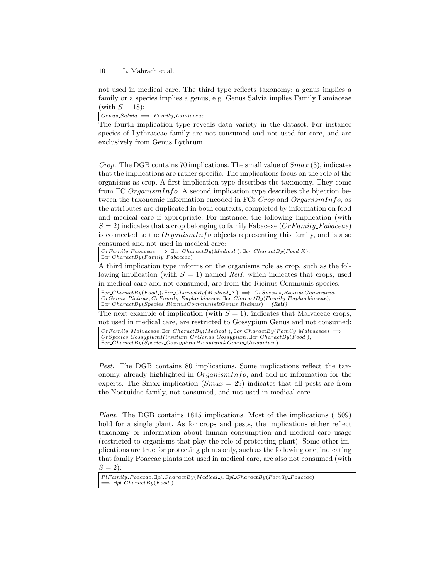not used in medical care. The third type reflects taxonomy: a genus implies a family or a species implies a genus, e.g. Genus Salvia implies Family Lamiaceae (with  $S = 18$ ):

 $Genus\_Salvia \implies Family\_Lamiaceae$ 

The fourth implication type reveals data variety in the dataset. For instance species of Lythraceae family are not consumed and not used for care, and are exclusively from Genus Lythrum.

Crop. The DGB contains 70 implications. The small value of  $Smax(3)$ , indicates that the implications are rather specific. The implications focus on the role of the organisms as crop. A first implication type describes the taxonomy. They come from FC  $OrganismInfo$ . A second implication type describes the bijection between the taxonomic information encoded in FCs Crop and OrganismInfo, as the attributes are duplicated in both contexts, completed by information on food and medical care if appropriate. For instance, the following implication (with  $S = 2$ ) indicates that a crop belonging to family Fabaceae (*CrF amily Fabaceae*) is connected to the  $OrganismInfo$  objects representing this family, and is also consumed and not used in medical care:

 $CrFamily_F abaceae \implies \exists cr\_CharacterBy(Medical_-), \exists cr\_CharacterBy(Food_X),$  $\exists cr\_CharacterBy(Family\_Fabaceae)$ 

A third implication type informs on the organisms role as crop, such as the following implication (with  $S = 1$ ) named Rel<sub>1</sub>, which indicates that crops, used in medical care and not consumed, are from the Ricinus Communis species:

 $\exists cr\_CharacterBy(Food_{})$ ,  $\exists cr\_CharacterBy(Medical_X) \implies CrSpecies_RicinusCommunis,$  $CrGenus \text{.} Ricinus, CrF amily \text{.} Euphorbiaceae, \exists cr \text{.} CharactBy (Family \text{.} Euphorbiaceae), \exists cr \text{.} CharactBy (Species \text{.} Ricinus Communis \& Genus \text{.} Ricinus)$  (Rel1)  $\exists cr\_CharacterBy(Species\_RicinusCommuniskGenus\_Ricinus)$ 

The next example of implication (with  $S = 1$ ), indicates that Malvaceae crops, not used in medical care, are restricted to Gossypium Genus and not consumed:

 $CrF a mily_Malvaceae, \exists cr\_Character(y(Media_\cdot), \exists cr\_Character(y(F a mily_Malvaceae))$  $CrSpecies\_Gossy pium Hirsutum, CrGenus\_Gossy pium, \exists cr\_CharacterBy (Food\_),$ ∃cr CharactBy(Species GossypiumHirsutum&Genus Gossypium)

Pest. The DGB contains 80 implications. Some implications reflect the taxonomy, already highlighted in  $OrganismInfo$ , and add no information for the experts. The Smax implication  $(Smax = 29)$  indicates that all pests are from the Noctuidae family, not consumed, and not used in medical care.

Plant. The DGB contains 1815 implications. Most of the implications (1509) hold for a single plant. As for crops and pests, the implications either reflect taxonomy or information about human consumption and medical care usage (restricted to organisms that play the role of protecting plant). Some other implications are true for protecting plants only, such as the following one, indicating that family Poaceae plants not used in medical care, are also not consumed (with  $S = 2$ :

 $PI Family\_Poaceae, \exists pl\_CharacterBy(Medical_{), \exists pl\_CharacterBy(Family_{}\space Poaceae)$  $\exists pl\_CharacterBy(Food_+)$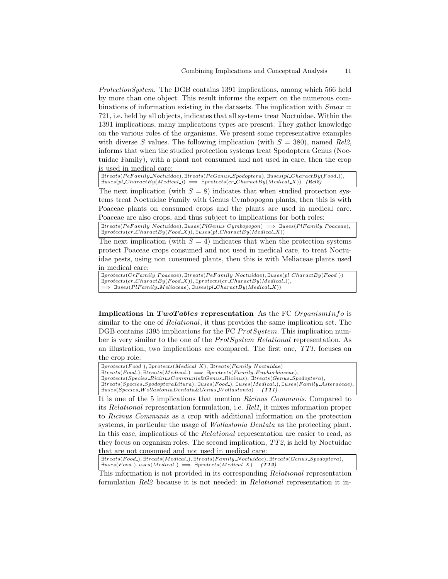ProtectionSystem. The DGB contains 1391 implications, among which 566 held by more than one object. This result informs the expert on the numerous combinations of information existing in the datasets. The implication with  $Smax =$ 721, i.e. held by all objects, indicates that all systems treat Noctuidae. Within the 1391 implications, many implications types are present. They gather knowledge on the various roles of the organisms. We present some representative examples with diverse S values. The following implication (with  $S = 380$ ), named Rel2, informs that when the studied protection systems treat Spodoptera Genus (Noctuidae Family), with a plant not consumed and not used in care, then the crop is used in medical care:

∃treats(PeFamily\_Noctuidae), ∃treats(PeGenus\_Spodoptera), ∃uses(pl\_CharactBy(Food\_)),  $\exists uses(pl.CharactBy(Medical\_)) \implies \exists protects(cr.CharactBy(Medical\_X))$  (Rel2)

The next implication (with  $S = 8$ ) indicates that when studied protection systems treat Noctuidae Family with Genus Cymbopogon plants, then this is with Poaceae plants on consumed crops and the plants are used in medical care. Poaceae are also crops, and thus subject to implications for both roles:

 $\exists treats (Per family Noctuide), \exists uses (PIGenus_Cymbopogon) \implies \exists uses (PI Family Poaceae),$  $\exists protects (cr\_CharacterBy (Food\_X)), \exists uses (pl\_CharacterBy (Medical\_X))$ 

The next implication (with  $S = 4$ ) indicates that when the protection systems protect Poaceae crops consumed and not used in medical care, to treat Noctuidae pests, using non consumed plants, then this is with Meliaceae plants used in medical care:

∃protects(CrFamily\_Poaceae), ∃treats(PeFamily\_Noctuidae), ∃uses(pl\_CharactBy(Food.))  $\exists protects(cr\_CharacterBy(Food.X)), \exists protects(cr\_CharacterBy(Medical))),$  $\implies \exists uses(PlFamily\_Meliaceae), \exists uses(pl{\_}CharactBy(Medical{\_}X))$ 

Implications in  $Two Tables$  representation As the FC  $OrganismInfo$  is similar to the one of Relational, it thus provides the same implication set. The DGB contains 1395 implications for the FC  $ProtSystem$ . This implication number is very similar to the one of the *ProtSystem Relational* representation. As an illustration, two implications are compared. The first one, TT1, focuses on the crop role:

∃protects(F ood ), ∃protects(Medical X), ∃treats(F amily Noctuidae)  $\exists treats(Food_{\cdot}), \exists treats(Medical_{\cdot}) \implies \exists protects(Family_{\cdot} Euphorbiaceae),$  $\exists protects(Species\_RicinusComm'uniskGenus_Ricinus),$   $\exists treats(Genus\_Spodoptera),$ ∃treats(Species SpodopteraLitura), ∃uses(F ood ), ∃uses(Medical ), ∃uses(F amily Asteraceae),  $\exists uses(Species\_WollastoniaDentata\&Genus\_Wollastonia)$ 

It is one of the 5 implications that mention Ricinus Communis. Compared to its Relational representation formulation, i.e. Rel1, it mixes information proper to Ricinus Communis as a crop with additional information on the protection systems, in particular the usage of *Wollastonia Dentata* as the protecting plant. In this case, implications of the Relational representation are easier to read, as they focus on organism roles. The second implication, TT2, is held by Noctuidae that are not consumed and not used in medical care:

∃treats(F ood ), ∃treats(Medical ), ∃treats(F amily Noctuidae), ∃treats(Genus Spodoptera),  $\exists uses(Food_{-}), uses(Medical_{-}) \implies \exists protects(Medical_{-})$  (TT2)

This information is not provided in its corresponding Relational representation formulation Rel2 because it is not needed: in Relational representation it in-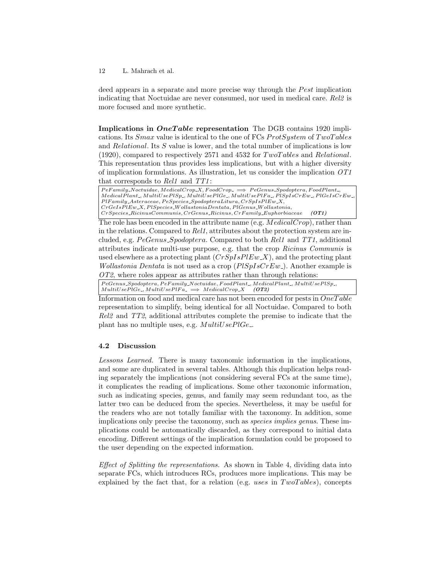deed appears in a separate and more precise way through the *Pest* implication indicating that Noctuidae are never consumed, nor used in medical care. Rel2 is more focused and more synthetic.

Implications in  $One Table$  representation The DGB contains 1920 implications. Its  $Smax$  value is identical to the one of FCs  $ProtSystem$  of TwoTables and Relational. Its S value is lower, and the total number of implications is low (1920), compared to respectively 2571 and 4532 for  $Two Tables$  and Relational. This representation thus provides less implications, but with a higher diversity of implication formulations. As illustration, let us consider the implication OT1 that corresponds to Rel1 and TT1:

 $PeFamily. No cutidae, Medical Corp. X, Food Corp. \implies PeGenus. Spodoptera, Food Plant.,  
Medical Plant., MultiUsePISp., MultiUsePIGe., MultiUsePIFa., PlSpIsCrEw., PlGeIsCrEw.,$  $\label{thm:1} P lF amily\_Asteraceae, Pespecies\_Spodoptera Litura, CrSpls P lEw\_X,$  $CrGeIsPIEw$ ,  $X$ ,  $PISpecies$ ,  $Wollastonia, PIGenus$ ,  $Wollastonia$ , CrSpecies RicinusCommunis, CrGenus Ricinus, CrF amily Euphorbiaceae (OT1)

The role has been encoded in the attribute name (e.g. *MedicalCrop*), rather than in the relations. Compared to Rel1, attributes about the protection system are included, e.g. PeGenus\_Spodoptera. Compared to both Rel1 and TT1, additional attributes indicate multi-use purpose, e.g. that the crop Ricinus Communis is used elsewhere as a protecting plant  $(CrSpIsPI\&X)$ , and the protecting plant Wollastonia Dentata is not used as a crop  $(PISpIsCrEw_$ . Another example is OT2, where roles appear as attributes rather than through relations:

 $P \in Genus\_Spodoptera, P \in Family\_Notuidae, FoodPlant., Medical Plant., MultiUsePISp., MultiUsePIFe. \implies Medical Corp.X (OT2)$  $MultiUsePIGe, MultiUsePIFa. \implies MedicalCrop.X$ 

Information on food and medical care has not been encoded for pests in  $One Table$ representation to simplify, being identical for all Noctuidae. Compared to both Rel2 and TT2, additional attributes complete the premise to indicate that the plant has no multiple uses, e.g.  $MultiUsePIGe$ .

#### 4.2 Discussion

Lessons Learned. There is many taxonomic information in the implications, and some are duplicated in several tables. Although this duplication helps reading separately the implications (not considering several FCs at the same time), it complicates the reading of implications. Some other taxonomic information, such as indicating species, genus, and family may seem redundant too, as the latter two can be deduced from the species. Nevertheless, it may be useful for the readers who are not totally familiar with the taxonomy. In addition, some implications only precise the taxonomy, such as *species implies genus*. These implications could be automatically discarded, as they correspond to initial data encoding. Different settings of the implication formulation could be proposed to the user depending on the expected information.

Effect of Splitting the representations. As shown in Table 4, dividing data into separate FCs, which introduces RCs, produces more implications. This may be explained by the fact that, for a relation (e.g. uses in  $Two Tables$ ), concepts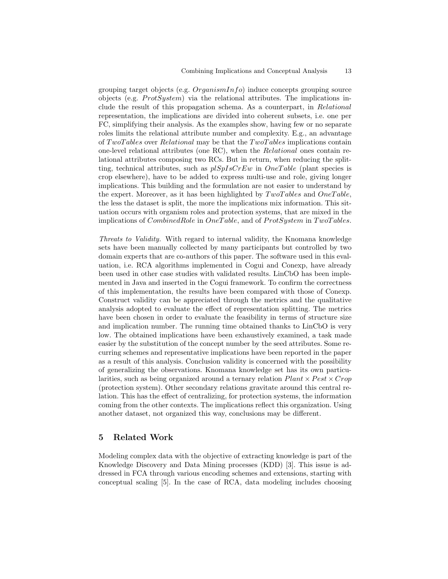grouping target objects (e.g.  $OrganismInfo$ ) induce concepts grouping source objects (e.g.  $ProtSystem$ ) via the relational attributes. The implications include the result of this propagation schema. As a counterpart, in Relational representation, the implications are divided into coherent subsets, i.e. one per FC, simplifying their analysis. As the examples show, having few or no separate roles limits the relational attribute number and complexity. E.g., an advantage of  $TwoTables$  over Relational may be that the  $TwoTables$  implications contain one-level relational attributes (one RC), when the Relational ones contain relational attributes composing two RCs. But in return, when reducing the splitting, technical attributes, such as  $plSpIsCrEw$  in  $OneTable$  (plant species is crop elsewhere), have to be added to express multi-use and role, giving longer implications. This building and the formulation are not easier to understand by the expert. Moreover, as it has been highlighted by  $Two Tables$  and  $One Table$ , the less the dataset is split, the more the implications mix information. This situation occurs with organism roles and protection systems, that are mixed in the implications of  $Combined Role$  in  $One Table$ , and of  $ProtSystem$  in  $Two Tables$ .

Threats to Validity. With regard to internal validity, the Knomana knowledge sets have been manually collected by many participants but controlled by two domain experts that are co-authors of this paper. The software used in this evaluation, i.e. RCA algorithms implemented in Cogui and Conexp, have already been used in other case studies with validated results. LinCbO has been implemented in Java and inserted in the Cogui framework. To confirm the correctness of this implementation, the results have been compared with those of Conexp. Construct validity can be appreciated through the metrics and the qualitative analysis adopted to evaluate the effect of representation splitting. The metrics have been chosen in order to evaluate the feasibility in terms of structure size and implication number. The running time obtained thanks to LinCbO is very low. The obtained implications have been exhaustively examined, a task made easier by the substitution of the concept number by the seed attributes. Some recurring schemes and representative implications have been reported in the paper as a result of this analysis. Conclusion validity is concerned with the possibility of generalizing the observations. Knomana knowledge set has its own particularities, such as being organized around a ternary relation  $Plant \times Pest \times Crop$ (protection system). Other secondary relations gravitate around this central relation. This has the effect of centralizing, for protection systems, the information coming from the other contexts. The implications reflect this organization. Using another dataset, not organized this way, conclusions may be different.

### 5 Related Work

Modeling complex data with the objective of extracting knowledge is part of the Knowledge Discovery and Data Mining processes (KDD) [3]. This issue is addressed in FCA through various encoding schemes and extensions, starting with conceptual scaling [5]. In the case of RCA, data modeling includes choosing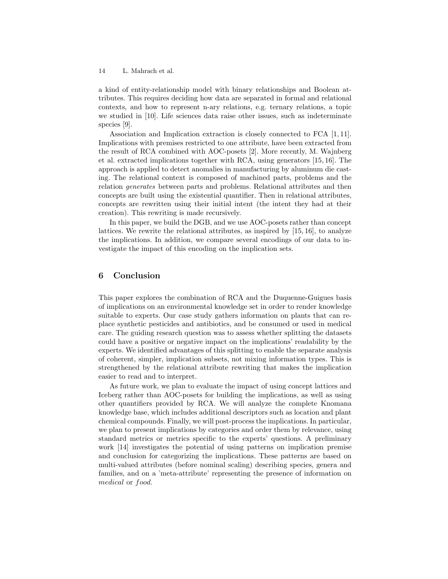a kind of entity-relationship model with binary relationships and Boolean attributes. This requires deciding how data are separated in formal and relational contexts, and how to represent n-ary relations, e.g. ternary relations, a topic we studied in [10]. Life sciences data raise other issues, such as indeterminate species [9].

Association and Implication extraction is closely connected to FCA [1, 11]. Implications with premises restricted to one attribute, have been extracted from the result of RCA combined with AOC-posets [2]. More recently, M. Wajnberg et al. extracted implications together with RCA, using generators [15, 16]. The approach is applied to detect anomalies in manufacturing by aluminum die casting. The relational context is composed of machined parts, problems and the relation generates between parts and problems. Relational attributes and then concepts are built using the existential quantifier. Then in relational attributes, concepts are rewritten using their initial intent (the intent they had at their creation). This rewriting is made recursively.

In this paper, we build the DGB, and we use AOC-posets rather than concept lattices. We rewrite the relational attributes, as inspired by [15, 16], to analyze the implications. In addition, we compare several encodings of our data to investigate the impact of this encoding on the implication sets.

## 6 Conclusion

This paper explores the combination of RCA and the Duquenne-Guigues basis of implications on an environmental knowledge set in order to render knowledge suitable to experts. Our case study gathers information on plants that can replace synthetic pesticides and antibiotics, and be consumed or used in medical care. The guiding research question was to assess whether splitting the datasets could have a positive or negative impact on the implications' readability by the experts. We identified advantages of this splitting to enable the separate analysis of coherent, simpler, implication subsets, not mixing information types. This is strengthened by the relational attribute rewriting that makes the implication easier to read and to interpret.

As future work, we plan to evaluate the impact of using concept lattices and Iceberg rather than AOC-posets for building the implications, as well as using other quantifiers provided by RCA. We will analyze the complete Knomana knowledge base, which includes additional descriptors such as location and plant chemical compounds. Finally, we will post-process the implications. In particular, we plan to present implications by categories and order them by relevance, using standard metrics or metrics specific to the experts' questions. A preliminary work [14] investigates the potential of using patterns on implication premise and conclusion for categorizing the implications. These patterns are based on multi-valued attributes (before nominal scaling) describing species, genera and families, and on a 'meta-attribute' representing the presence of information on medical or food.